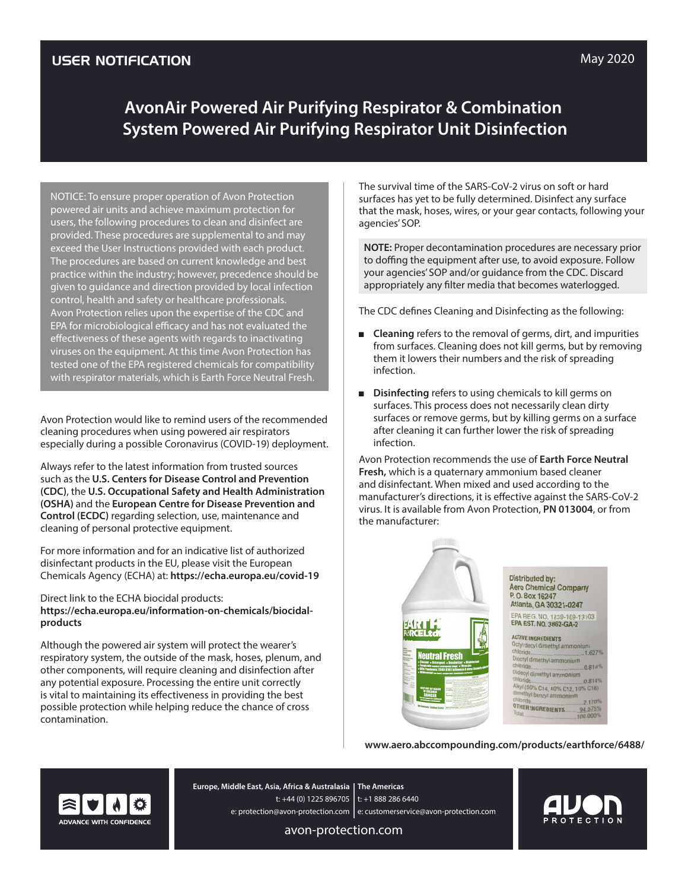# **AvonAir Powered Air Purifying Respirator & Combination System Powered Air Purifying Respirator Unit Disinfection**

NOTICE: To ensure proper operation of Avon Protection powered air units and achieve maximum protection for users, the following procedures to clean and disinfect are provided. These procedures are supplemental to and may exceed the User Instructions provided with each product. The procedures are based on current knowledge and best practice within the industry; however, precedence should be given to guidance and direction provided by local infection control, health and safety or healthcare professionals. Avon Protection relies upon the expertise of the CDC and EPA for microbiological efficacy and has not evaluated the effectiveness of these agents with regards to inactivating viruses on the equipment. At this time Avon Protection has tested one of the EPA registered chemicals for compatibility with respirator materials, which is Earth Force Neutral Fresh.

Avon Protection would like to remind users of the recommended cleaning procedures when using powered air respirators especially during a possible Coronavirus (COVID-19) deployment.

Always refer to the latest information from trusted sources such as the **U.S. Centers for Disease Control and Prevention (CDC)**, the **U.S. Occupational Safety and Health Administration (OSHA)** and the **European Centre for Disease Prevention and Control (ECDC)** regarding selection, use, maintenance and cleaning of personal protective equipment.

For more information and for an indicative list of authorized disinfectant products in the EU, please visit the European Chemicals Agency (ECHA) at: **https://echa.europa.eu/covid-19**

Direct link to the ECHA biocidal products: **https://echa.europa.eu/information-on-chemicals/biocidalproducts**

Although the powered air system will protect the wearer's respiratory system, the outside of the mask, hoses, plenum, and other components, will require cleaning and disinfection after any potential exposure. Processing the entire unit correctly is vital to maintaining its effectiveness in providing the best possible protection while helping reduce the chance of cross contamination.

The survival time of the SARS-CoV-2 virus on soft or hard surfaces has yet to be fully determined. Disinfect any surface that the mask, hoses, wires, or your gear contacts, following your agencies' SOP.

**NOTE:** Proper decontamination procedures are necessary prior to doffing the equipment after use, to avoid exposure. Follow your agencies' SOP and/or guidance from the CDC. Discard appropriately any filter media that becomes waterlogged.

The CDC defines Cleaning and Disinfecting as the following:

- **Cleaning** refers to the removal of germs, dirt, and impurities from surfaces. Cleaning does not kill germs, but by removing them it lowers their numbers and the risk of spreading infection.
- **Disinfecting** refers to using chemicals to kill germs on surfaces. This process does not necessarily clean dirty surfaces or remove germs, but by killing germs on a surface after cleaning it can further lower the risk of spreading infection.

Avon Protection recommends the use of **Earth Force Neutral Fresh,** which is a quaternary ammonium based cleaner and disinfectant. When mixed and used according to the manufacturer's directions, it is effective against the SARS-CoV-2 virus. It is available from Avon Protection, **PN 013004**, or from the manufacturer:

|                                                                                                                                                                                                                                                                                                                                                                                    | <b>Distributed by:</b><br><b>Aero Chemical Company</b><br>P.O. Box 16247<br>Atlanta, GA 30321-0247                                                                                                                                                                                                                                                                                   |
|------------------------------------------------------------------------------------------------------------------------------------------------------------------------------------------------------------------------------------------------------------------------------------------------------------------------------------------------------------------------------------|--------------------------------------------------------------------------------------------------------------------------------------------------------------------------------------------------------------------------------------------------------------------------------------------------------------------------------------------------------------------------------------|
| 歌星に<br><b>Neutral Fresh</b><br>* Cleaner * Betergent * Beoderizer * Bisinfectal<br>* Fangleide topinst pathogonic hangi * Virucide<br>* Kills Pandemic 2009 Hilki Influenza A virus (Internety)<br>* Hildewstat ton hard, nonperus, inanimatu surised<br>$(41)$ el<br>-kis<br><b>KEEP OUT OF REACH</b><br><b><i>OF CHILDREY</i></b><br><b>Antonions: I Callen (3.8 Li Service)</b> | EPA REG. NO. 1839-169-13103<br><b>EPA EST. NO. 3862-GA-2</b><br><b>ACTIVE INGREDIENTS</b><br>Octyl decyl dimethyl ammonium<br>chloride<br>.1.627%<br>Dioctyl dimethyl ammonium<br>.0.814%<br>Didecyl dimethyl ammonium<br>0.814%<br>Alkyl (50% C14, 40% C12, 10% C16)<br>dimethyl benzyl ammonium<br>chloride.<br>2.170%<br><b>OTHER INGREDIENTS</b><br>94.575%<br>Total<br>100.000% |

**www.aero.abccompounding.com/products/earthforce/6488/**



**The Americas Europe, Middle East, Asia, Africa & Australasia** t: +44 (0) 1225 896705 | t: +1 888 286 6440 e: protection@avon-protection.com | e: customerservice@avon-protection.com

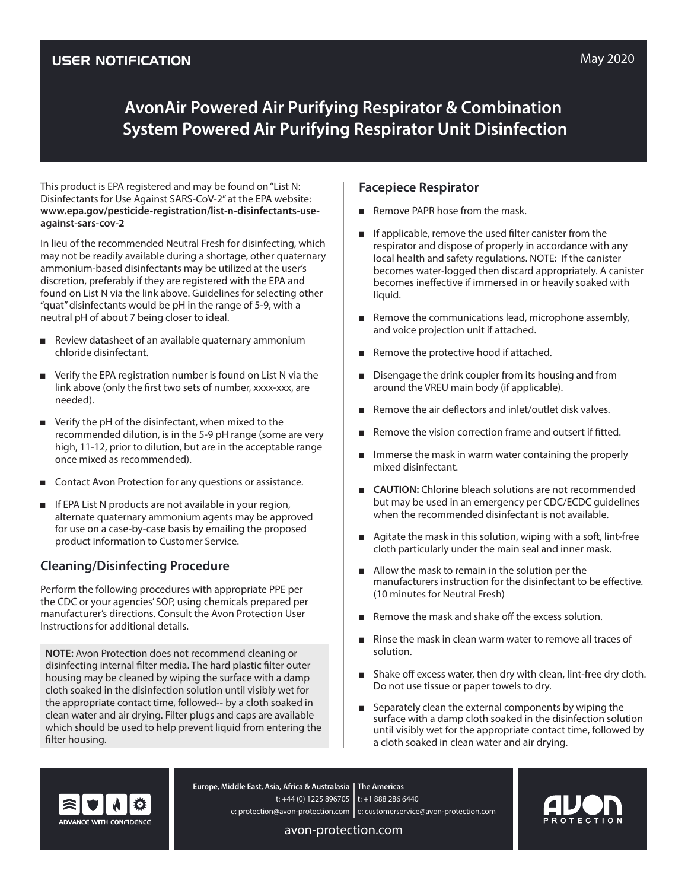# **AvonAir Powered Air Purifying Respirator & Combination System Powered Air Purifying Respirator Unit Disinfection**

This product is EPA registered and may be found on "List N: Disinfectants for Use Against SARS-CoV-2" at the EPA website: **www.epa.gov/pesticide-registration/list-n-disinfectants-useagainst-sars-cov-2**

In lieu of the recommended Neutral Fresh for disinfecting, which may not be readily available during a shortage, other quaternary ammonium-based disinfectants may be utilized at the user's discretion, preferably if they are registered with the EPA and found on List N via the link above. Guidelines for selecting other "quat" disinfectants would be pH in the range of 5-9, with a neutral pH of about 7 being closer to ideal.

- Review datasheet of an available quaternary ammonium chloride disinfectant.
- Verify the EPA registration number is found on List N via the link above (only the first two sets of number, xxxx-xxx, are needed).
- Verify the pH of the disinfectant, when mixed to the recommended dilution, is in the 5-9 pH range (some are very high, 11-12, prior to dilution, but are in the acceptable range once mixed as recommended).
- Contact Avon Protection for any questions or assistance.
- If EPA List N products are not available in your region, alternate quaternary ammonium agents may be approved for use on a case-by-case basis by emailing the proposed product information to Customer Service.

## **Cleaning/Disinfecting Procedure**

Perform the following procedures with appropriate PPE per the CDC or your agencies' SOP, using chemicals prepared per manufacturer's directions. Consult the Avon Protection User Instructions for additional details.

**NOTE:** Avon Protection does not recommend cleaning or disinfecting internal filter media. The hard plastic filter outer housing may be cleaned by wiping the surface with a damp cloth soaked in the disinfection solution until visibly wet for the appropriate contact time, followed-- by a cloth soaked in clean water and air drying. Filter plugs and caps are available which should be used to help prevent liquid from entering the filter housing.

## **Facepiece Respirator**

- Remove PAPR hose from the mask.
- If applicable, remove the used filter canister from the respirator and dispose of properly in accordance with any local health and safety regulations. NOTE: If the canister becomes water-logged then discard appropriately. A canister becomes ineffective if immersed in or heavily soaked with liquid.
- Remove the communications lead, microphone assembly, and voice projection unit if attached.
- Remove the protective hood if attached.
- Disengage the drink coupler from its housing and from around the VREU main body (if applicable).
- Remove the air deflectors and inlet/outlet disk valves.
- Remove the vision correction frame and outsert if fitted.
- Immerse the mask in warm water containing the properly mixed disinfectant.
- **CAUTION:** Chlorine bleach solutions are not recommended but may be used in an emergency per CDC/ECDC guidelines when the recommended disinfectant is not available.
- Agitate the mask in this solution, wiping with a soft, lint-free cloth particularly under the main seal and inner mask.
- Allow the mask to remain in the solution per the manufacturers instruction for the disinfectant to be effective. (10 minutes for Neutral Fresh)
- Remove the mask and shake off the excess solution.
- Rinse the mask in clean warm water to remove all traces of solution.
- Shake off excess water, then dry with clean, lint-free dry cloth. Do not use tissue or paper towels to dry.
- Separately clean the external components by wiping the surface with a damp cloth soaked in the disinfection solution until visibly wet for the appropriate contact time, followed by a cloth soaked in clean water and air drying.



**The Americas Europe, Middle East, Asia, Africa & Australasia** t: +44 (0) 1225 896705 | t: +1 888 286 6440 e: protection@avon-protection.com | e: customerservice@avon-protection.com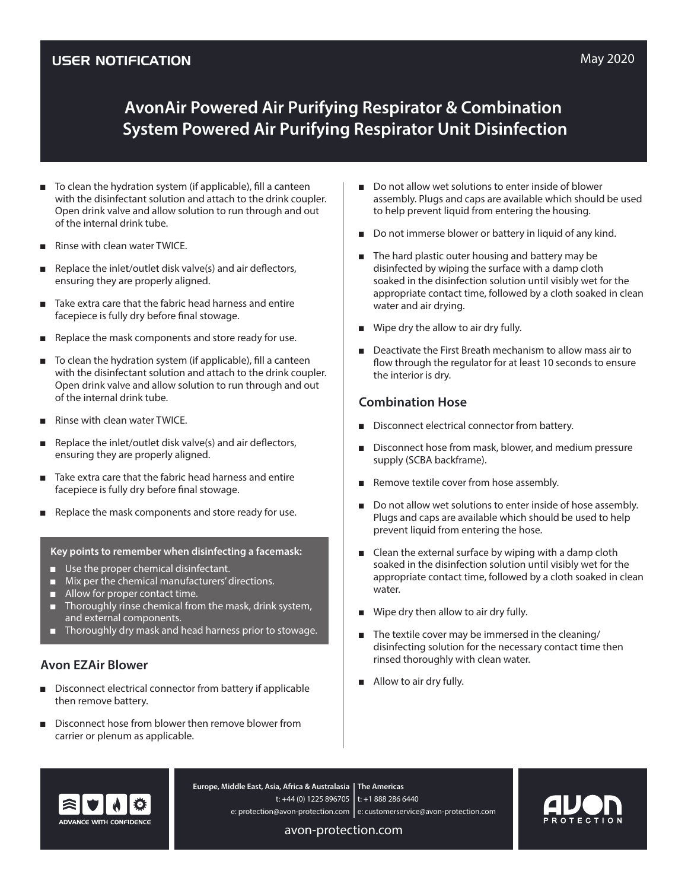# **AvonAir Powered Air Purifying Respirator & Combination System Powered Air Purifying Respirator Unit Disinfection**

- To clean the hydration system (if applicable), fill a canteen with the disinfectant solution and attach to the drink coupler. Open drink valve and allow solution to run through and out of the internal drink tube.
- Rinse with clean water TWICE.
- $\blacksquare$  Replace the inlet/outlet disk valve(s) and air deflectors, ensuring they are properly aligned.
- Take extra care that the fabric head harness and entire facepiece is fully dry before final stowage.
- Replace the mask components and store ready for use.
- To clean the hydration system (if applicable), fill a canteen with the disinfectant solution and attach to the drink coupler. Open drink valve and allow solution to run through and out of the internal drink tube.
- Rinse with clean water TWICE.
- Replace the inlet/outlet disk valve(s) and air deflectors, ensuring they are properly aligned.
- Take extra care that the fabric head harness and entire facepiece is fully dry before final stowage.
- Replace the mask components and store ready for use.

#### **Key points to remember when disinfecting a facemask:**

- Use the proper chemical disinfectant.
- Mix per the chemical manufacturers' directions.
- Allow for proper contact time.
- Thoroughly rinse chemical from the mask, drink system, and external components.
- Thoroughly dry mask and head harness prior to stowage.

### **Avon EZAir Blower**

- Disconnect electrical connector from battery if applicable then remove battery.
- Disconnect hose from blower then remove blower from carrier or plenum as applicable.
- Do not allow wet solutions to enter inside of blower assembly. Plugs and caps are available which should be used to help prevent liquid from entering the housing.
- Do not immerse blower or battery in liquid of any kind.
- The hard plastic outer housing and battery may be disinfected by wiping the surface with a damp cloth soaked in the disinfection solution until visibly wet for the appropriate contact time, followed by a cloth soaked in clean water and air drying.
- Wipe dry the allow to air dry fully.
- Deactivate the First Breath mechanism to allow mass air to flow through the regulator for at least 10 seconds to ensure the interior is dry.

## **Combination Hose**

- Disconnect electrical connector from battery.
- Disconnect hose from mask, blower, and medium pressure supply (SCBA backframe).
- Remove textile cover from hose assembly.
- Do not allow wet solutions to enter inside of hose assembly. Plugs and caps are available which should be used to help prevent liquid from entering the hose.
- Clean the external surface by wiping with a damp cloth soaked in the disinfection solution until visibly wet for the appropriate contact time, followed by a cloth soaked in clean water.
- Wipe dry then allow to air dry fully.
- The textile cover may be immersed in the cleaning/ disinfecting solution for the necessary contact time then rinsed thoroughly with clean water.
- Allow to air dry fully.



**The Americas Europe, Middle East, Asia, Africa & Australasia** t: +44 (0) 1225 896705 | t: +1 888 286 6440 e: protection@avon-protection.com | e: customerservice@avon-protection.com

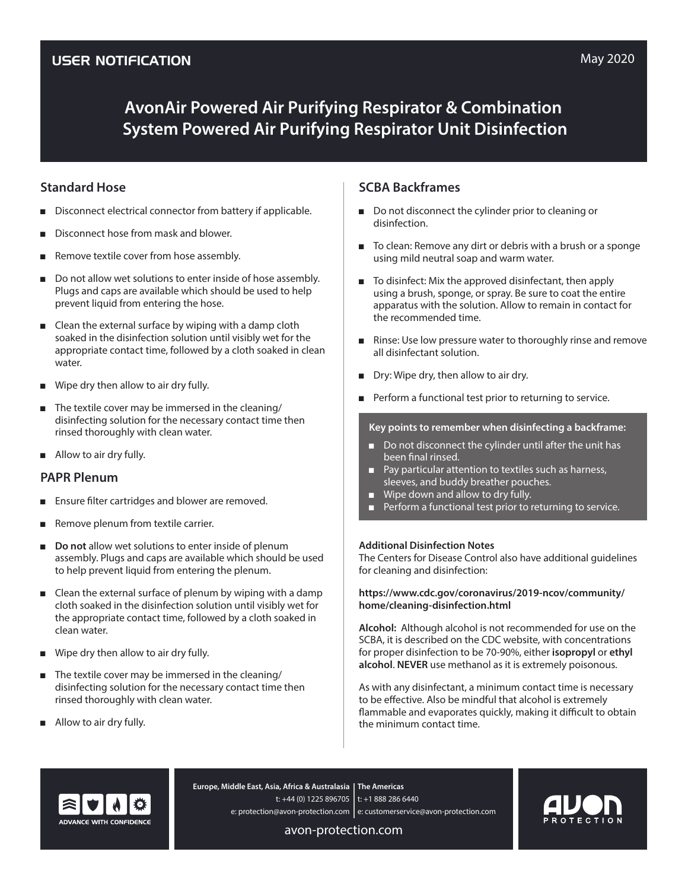# **AvonAir Powered Air Purifying Respirator & Combination System Powered Air Purifying Respirator Unit Disinfection**

### **Standard Hose**

- Disconnect electrical connector from battery if applicable.
- Disconnect hose from mask and blower.
- Remove textile cover from hose assembly.
- Do not allow wet solutions to enter inside of hose assembly. Plugs and caps are available which should be used to help prevent liquid from entering the hose.
- Clean the external surface by wiping with a damp cloth soaked in the disinfection solution until visibly wet for the appropriate contact time, followed by a cloth soaked in clean water.
- Wipe dry then allow to air dry fully.
- The textile cover may be immersed in the cleaning/ disinfecting solution for the necessary contact time then rinsed thoroughly with clean water.
- Allow to air dry fully.

### **PAPR Plenum**

- Ensure filter cartridges and blower are removed.
- Remove plenum from textile carrier.
- **Do not** allow wet solutions to enter inside of plenum assembly. Plugs and caps are available which should be used to help prevent liquid from entering the plenum.
- Clean the external surface of plenum by wiping with a damp cloth soaked in the disinfection solution until visibly wet for the appropriate contact time, followed by a cloth soaked in clean water.
- Wipe dry then allow to air dry fully.
- The textile cover may be immersed in the cleaning/ disinfecting solution for the necessary contact time then rinsed thoroughly with clean water.
- Allow to air dry fully.

## **SCBA Backframes**

- Do not disconnect the cylinder prior to cleaning or disinfection.
- To clean: Remove any dirt or debris with a brush or a sponge using mild neutral soap and warm water.
- To disinfect: Mix the approved disinfectant, then apply using a brush, sponge, or spray. Be sure to coat the entire apparatus with the solution. Allow to remain in contact for the recommended time.
- Rinse: Use low pressure water to thoroughly rinse and remove all disinfectant solution.
- Dry: Wipe dry, then allow to air dry.
- Perform a functional test prior to returning to service.

#### **Key points to remember when disinfecting a backframe:**

- Do not disconnect the cylinder until after the unit has been final rinsed.
- Pay particular attention to textiles such as harness, sleeves, and buddy breather pouches.
- Wipe down and allow to dry fully.
- Berform a functional test prior to returning to service.

#### **Additional Disinfection Notes**

The Centers for Disease Control also have additional guidelines for cleaning and disinfection:

#### **https://www.cdc.gov/coronavirus/2019-ncov/community/ home/cleaning-disinfection.html**

**Alcohol:** Although alcohol is not recommended for use on the SCBA, it is described on the CDC website, with concentrations for proper disinfection to be 70-90%, either **isopropyl** or **ethyl alcohol**. **NEVER** use methanol as it is extremely poisonous.

As with any disinfectant, a minimum contact time is necessary to be effective. Also be mindful that alcohol is extremely flammable and evaporates quickly, making it difficult to obtain the minimum contact time.



**The Americas Europe, Middle East, Asia, Africa & Australasia** t: +44 (0) 1225 896705 | t: +1 888 286 6440 e: protection@avon-protection.com | e: customerservice@avon-protection.com